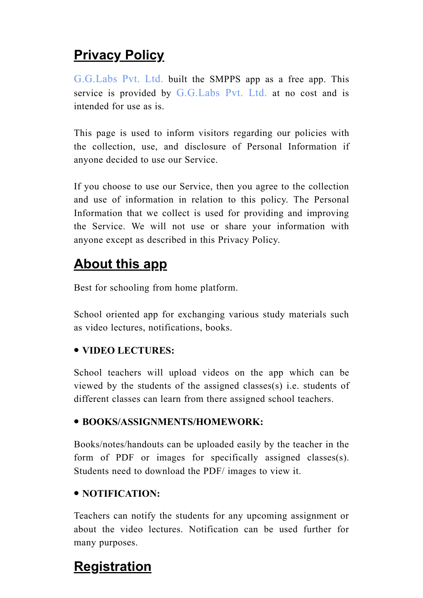## **Privacy Policy**

[G.G.Labs](http://www.gglabs.in/) Pvt. Ltd. built the SMPPS app as a free app. This service is provided by [G.G.Labs](http://www.gglabs.in/) Pvt. Ltd. at no cost and is intended for use as is.

This page is used to inform visitors regarding our policies with the collection, use, and disclosure of Personal Information if anyone decided to use our Service.

If you choose to use our Service, then you agree to the collection and use of information in relation to this policy. The Personal Information that we collect is used for providing and improving the Service. We will not use or share your information with anyone except as described in this Privacy Policy.

## About this app

Best for schooling from home platform.

School oriented app for exchanging various study materials such as video lectures, notifications, books.

#### VIDEO LECTURES:

School teachers will upload videos on the app which can be viewed by the students of the assigned classes(s) i.e. students of different classes can learn from there assigned school teachers.

#### BOOKS/ASSIGNMENTS/HOMEWORK:

Books/notes/handouts can be uploaded easily by the teacher in the form of PDF or images for specifically assigned classes(s). Students need to download the PDF/ images to view it.

#### NOTIFICATION:

Teachers can notify the students for any upcoming assignment or about the video lectures. Notification can be used further for many purposes.

## **Registration**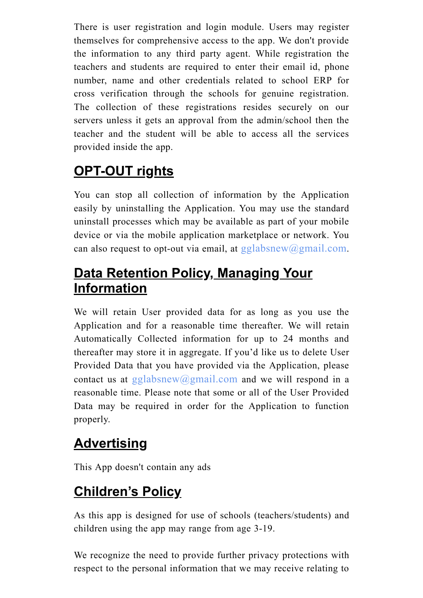There is user registration and login module. Users may register themselves for comprehensive access to the app. We don't provide the information to any third party agent. While registration the teachers and students are required to enter their email id, phone number, name and other credentials related to school ERP for cross verification through the schools for genuine registration. The collection of these registrations resides securely on our servers unless it gets an approval from the admin/school then the teacher and the student will be able to access all the services provided inside the app.

# OPT-OUT rights

You can stop all collection of information by the Application easily by uninstalling the Application. You may use the standard uninstall processes which may be available as part of your mobile device or via the mobile application marketplace or network. You can also request to opt-out via email, at  $gglabsnew@gmail.com$ .

## Data Retention Policy, Managing Your **Information**

We will retain User provided data for as long as you use the Application and for a reasonable time thereafter. We will retain Automatically Collected information for up to 24 months and thereafter may store it in aggregate. If you'd like us to delete User Provided Data that you have provided via the Application, please contact us at [gglabsnew@gmail.com](mailto:gglabsnew@gmail.com) and we will respond in a reasonable time. Please note that some or all of the User Provided Data may be required in order for the Application to function properly.

## **Advertising**

This App doesn't contain any ads

## Children's Policy

As this app is designed for use of schools (teachers/students) and children using the app may range from age 3-19.

We recognize the need to provide further privacy protections with respect to the personal information that we may receive relating to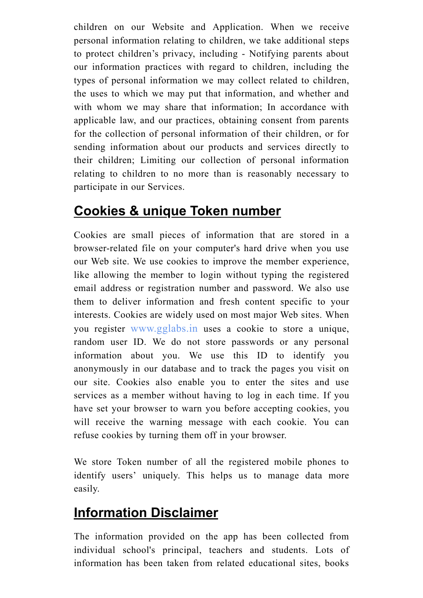children on our Website and Application. When we receive personal information relating to children, we take additional steps to protect children's privacy, including - Notifying parents about our information practices with regard to children, including the types of personal information we may collect related to children, the uses to which we may put that information, and whether and with whom we may share that information; In accordance with applicable law, and our practices, obtaining consent from parents for the collection of personal information of their children, or for sending information about our products and services directly to their children; Limiting our collection of personal information relating to children to no more than is reasonably necessary to participate in our Services.

### Cookies & unique Token number

Cookies are small pieces of information that are stored in a browser-related file on your computer's hard drive when you use our Web site. We use cookies to improve the member experience, like allowing the member to login without typing the registered email address or registration number and password. We also use them to deliver information and fresh content specific to your interests. Cookies are widely used on most major Web sites. When you register [www.gglabs.in](http://www.gglabs.in/) uses a cookie to store a unique, random user ID. We do not store passwords or any personal information about you. We use this ID to identify you anonymously in our database and to track the pages you visit on our site. Cookies also enable you to enter the sites and use services as a member without having to log in each time. If you have set your browser to warn you before accepting cookies, you will receive the warning message with each cookie. You can refuse cookies by turning them off in your browser.

We store Token number of all the registered mobile phones to identify users' uniquely. This helps us to manage data more easily.

### Information Disclaimer

The information provided on the app has been collected from individual school's principal, teachers and students. Lots of information has been taken from related educational sites, books